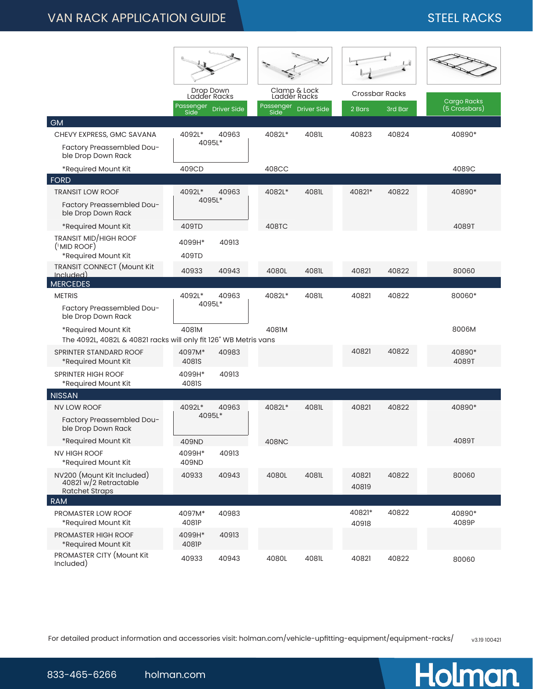## VAN RACK APPLICATION GUIDE NATION OF STEEL RACKS

|                                                                                         | Drop Down<br>Ladder Racks |             | Clamp & Lock<br>Ladder Racks |                    | 내<br><b>Crossbar Racks</b> |         |                                     |
|-----------------------------------------------------------------------------------------|---------------------------|-------------|------------------------------|--------------------|----------------------------|---------|-------------------------------------|
|                                                                                         |                           |             |                              |                    |                            |         |                                     |
|                                                                                         | Passenger<br>Side         | Driver Side | Passenger<br>Side            | <b>Driver Side</b> | 2 Bars                     | 3rd Bar | <b>Cargo Racks</b><br>(5 Crossbars) |
| GM                                                                                      |                           |             |                              |                    |                            |         |                                     |
| CHEVY EXPRESS, GMC SAVANA                                                               | 4092L*                    | 40963       | 4082L*                       | 4081L              | 40823                      | 40824   | 40890*                              |
| Factory Preassembled Dou-<br>ble Drop Down Rack                                         |                           | 4095L*      |                              |                    |                            |         |                                     |
| *Required Mount Kit                                                                     | 409CD                     |             | 408CC                        |                    |                            |         | 4089C                               |
| <b>FORD</b>                                                                             |                           |             |                              |                    |                            |         |                                     |
| <b>TRANSIT LOW ROOF</b>                                                                 | 4092L*                    | 40963       | 4082L*                       | 4081L              | 40821*                     | 40822   | 40890*                              |
| Factory Preassembled Dou-<br>ble Drop Down Rack                                         |                           | 4095L*      |                              |                    |                            |         |                                     |
| *Required Mount Kit                                                                     | 409TD                     |             | 408TC                        |                    |                            |         | 4089T                               |
| <b>TRANSIT MID/HIGH ROOF</b><br>$($ <sup>1</sup> MID ROOF)<br>*Required Mount Kit       | 4099H*<br>409TD           | 40913       |                              |                    |                            |         |                                     |
| <b>TRANSIT CONNECT</b> (Mount Kit                                                       |                           |             |                              |                    |                            |         |                                     |
| Included)                                                                               | 40933                     | 40943       | 4080L                        | 4081L              | 40821                      | 40822   | 80060                               |
| <b>MERCEDES</b>                                                                         |                           |             |                              |                    |                            |         |                                     |
| <b>METRIS</b>                                                                           | 4092L*<br>4095L*          | 40963       | 4082L*                       | 4081L              | 40821                      | 40822   | 80060*                              |
| Factory Preassembled Dou-<br>ble Drop Down Rack                                         |                           |             |                              |                    |                            |         |                                     |
| *Required Mount Kit<br>The 4092L, 4082L & 40821 racks will only fit 126" WB Metris vans | 4081M                     |             | 4081M                        |                    |                            |         | 8006M                               |
| SPRINTER STANDARD ROOF<br>*Required Mount Kit                                           | 4097M*<br>4081S           | 40983       |                              |                    | 40821                      | 40822   | 40890*<br>4089T                     |
| <b>SPRINTER HIGH ROOF</b><br>*Required Mount Kit                                        | 4099H*<br>4081S           | 40913       |                              |                    |                            |         |                                     |
| <b>NISSAN</b>                                                                           |                           |             |                              |                    |                            |         |                                     |
| <b>NV LOW ROOF</b>                                                                      | 4092L*                    | 40963       | 4082L*                       | 4081L              | 40821                      | 40822   | 40890*                              |
| Factory Preassembled Dou-<br>ble Drop Down Rack                                         |                           | 4095L*      |                              |                    |                            |         |                                     |
| *Required Mount Kit                                                                     | 409ND                     |             | 408NC                        |                    |                            |         | 4089T                               |
| NV HIGH ROOF<br>*Required Mount Kit                                                     | 4099H*<br>409ND           | 40913       |                              |                    |                            |         |                                     |
| NV200 (Mount Kit Included)<br>40821 w/2 Retractable<br><b>Ratchet Straps</b>            | 40933                     | 40943       | 4080L                        | 4081L              | 40821<br>40819             | 40822   | 80060                               |
| <b>RAM</b>                                                                              |                           |             |                              |                    |                            |         |                                     |
| PROMASTER LOW ROOF<br>*Required Mount Kit                                               | 4097M*<br>4081P           | 40983       |                              |                    | 40821*<br>40918            | 40822   | 40890*<br>4089P                     |
| PROMASTER HIGH ROOF<br>*Required Mount Kit                                              | 4099H*<br>4081P           | 40913       |                              |                    |                            |         |                                     |
| PROMASTER CITY (Mount Kit<br>Included)                                                  | 40933                     | 40943       | 4080L                        | 4081L              | 40821                      | 40822   | 80060                               |

For detailed product information and accessories visit: holman.com/vehicle-upfitting-equipment/equipment-racks/ v3.19 100421